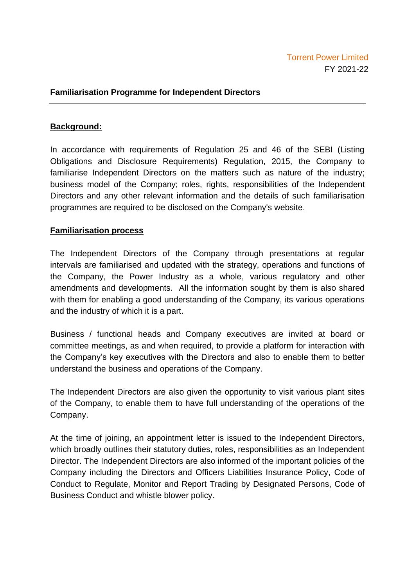## **Familiarisation Programme for Independent Directors**

## **Background:**

In accordance with requirements of Regulation 25 and 46 of the SEBI (Listing Obligations and Disclosure Requirements) Regulation, 2015, the Company to familiarise Independent Directors on the matters such as nature of the industry; business model of the Company; roles, rights, responsibilities of the Independent Directors and any other relevant information and the details of such familiarisation programmes are required to be disclosed on the Company's website.

## **Familiarisation process**

The Independent Directors of the Company through presentations at regular intervals are familiarised and updated with the strategy, operations and functions of the Company, the Power Industry as a whole, various regulatory and other amendments and developments. All the information sought by them is also shared with them for enabling a good understanding of the Company, its various operations and the industry of which it is a part.

Business / functional heads and Company executives are invited at board or committee meetings, as and when required, to provide a platform for interaction with the Company's key executives with the Directors and also to enable them to better understand the business and operations of the Company.

The Independent Directors are also given the opportunity to visit various plant sites of the Company, to enable them to have full understanding of the operations of the Company.

At the time of joining, an appointment letter is issued to the Independent Directors, which broadly outlines their statutory duties, roles, responsibilities as an Independent Director. The Independent Directors are also informed of the important policies of the Company including the Directors and Officers Liabilities Insurance Policy, Code of Conduct to Regulate, Monitor and Report Trading by Designated Persons, Code of Business Conduct and whistle blower policy.